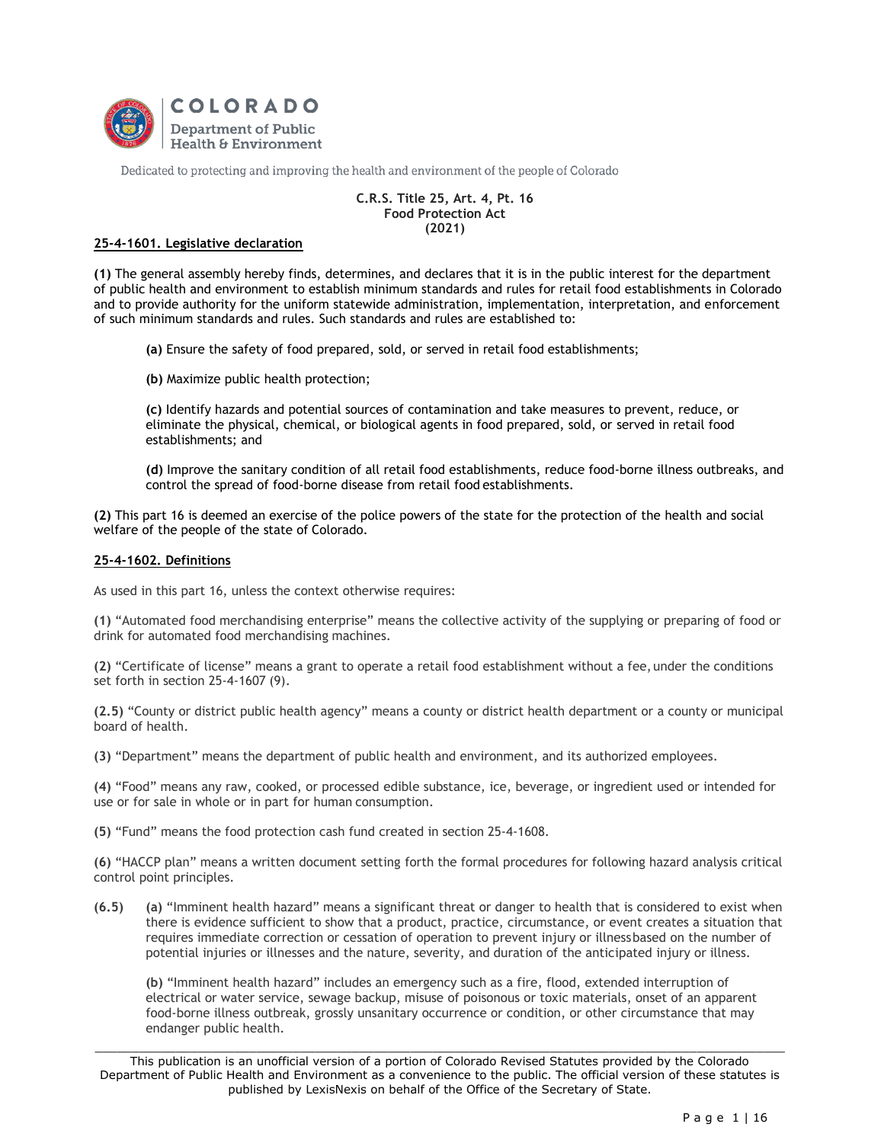

Dedicated to protecting and improving the health and environment of the people of Colorado

## **C.R.S. Title 25, Art. 4, Pt. 16 Food Protection Act (2021)**

# **25-4-1601. Legislative declaration**

**(1)** The general assembly hereby finds, determines, and declares that it is in the public interest for the department of public health and environment to establish minimum standards and rules for retail food establishments in Colorado and to provide authority for the uniform statewide administration, implementation, interpretation, and enforcement of such minimum standards and rules. Such standards and rules are established to:

**(a)** Ensure the safety of food prepared, sold, or served in retail food establishments;

**(b)** Maximize public health protection;

**(c)** Identify hazards and potential sources of contamination and take measures to prevent, reduce, or eliminate the physical, chemical, or biological agents in food prepared, sold, or served in retail food establishments; and

**(d)** Improve the sanitary condition of all retail food establishments, reduce food-borne illness outbreaks, and control the spread of food-borne disease from retail food establishments.

**(2)** This part 16 is deemed an exercise of the police powers of the state for the protection of the health and social welfare of the people of the state of Colorado.

## **25-4-1602. Definitions**

As used in this part 16, unless the context otherwise requires:

**(1)** "Automated food merchandising enterprise" means the collective activity of the supplying or preparing of food or drink for automated food merchandising machines.

**(2)** "Certificate of license" means a grant to operate a retail food establishment without a fee, under the conditions set forth in section 25-4-1607 (9).

**(2.5)** "County or district public health agency" means a county or district health department or a county or municipal board of health.

**(3)** "Department" means the department of public health and environment, and its authorized employees.

**(4)** "Food" means any raw, cooked, or processed edible substance, ice, beverage, or ingredient used or intended for use or for sale in whole or in part for human consumption.

**(5)** "Fund" means the food protection cash fund created in section 25-4-1608.

**(6)** "HACCP plan" means a written document setting forth the formal procedures for following hazard analysis critical control point principles.

**(6.5) (a)** "Imminent health hazard" means a significant threat or danger to health that is considered to exist when there is evidence sufficient to show that a product, practice, circumstance, or event creates a situation that requires immediate correction or cessation of operation to prevent injury or illnessbased on the number of potential injuries or illnesses and the nature, severity, and duration of the anticipated injury or illness.

**(b)** "Imminent health hazard" includes an emergency such as a fire, flood, extended interruption of electrical or water service, sewage backup, misuse of poisonous or toxic materials, onset of an apparent food-borne illness outbreak, grossly unsanitary occurrence or condition, or other circumstance that may endanger public health.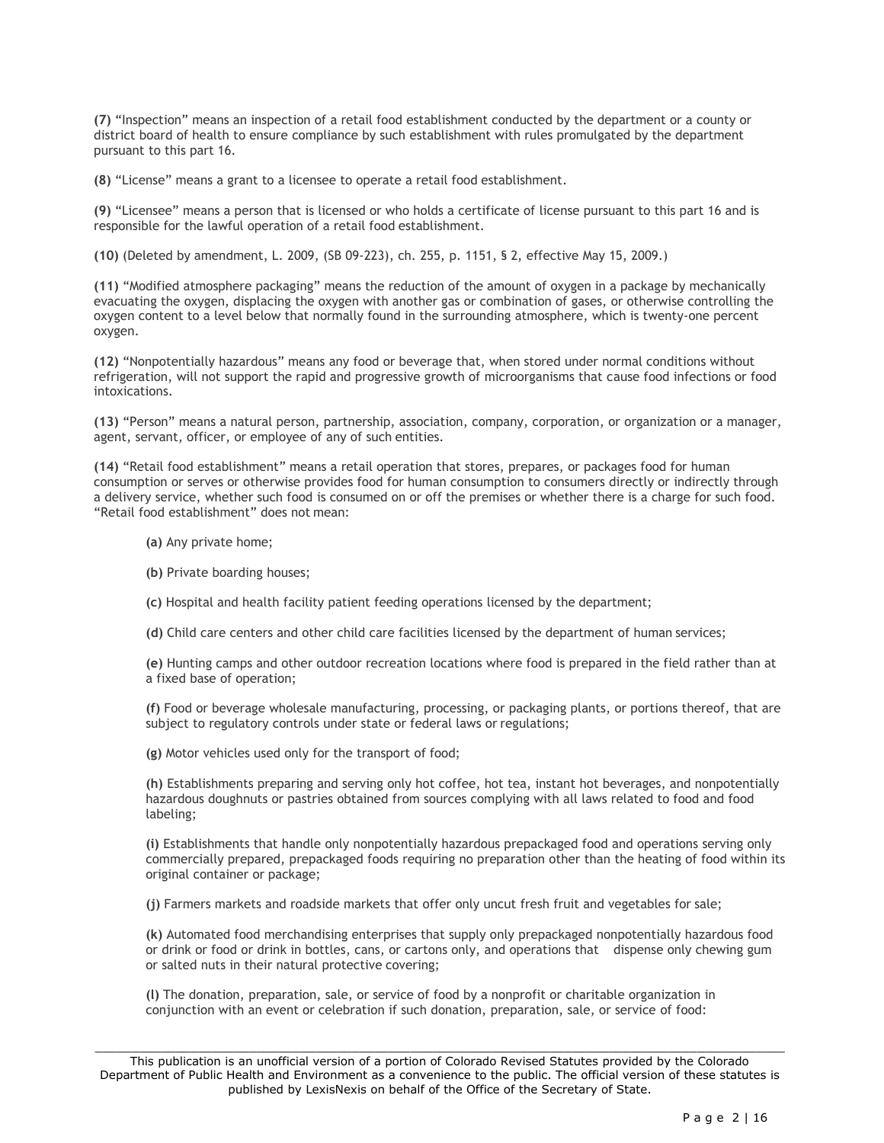**(7)** "Inspection" means an inspection of a retail food establishment conducted by the department or a county or district board of health to ensure compliance by such establishment with rules promulgated by the department pursuant to this part 16.

**(8)** "License" means a grant to a licensee to operate a retail food establishment.

**(9)** "Licensee" means a person that is licensed or who holds a certificate of license pursuant to this part 16 and is responsible for the lawful operation of a retail food establishment.

**(10)** (Deleted by amendment, L. 2009, (SB 09-223), ch. 255, p. 1151, § 2, effective May 15, 2009.)

**(11)** "Modified atmosphere packaging" means the reduction of the amount of oxygen in a package by mechanically evacuating the oxygen, displacing the oxygen with another gas or combination of gases, or otherwise controlling the oxygen content to a level below that normally found in the surrounding atmosphere, which is twenty-one percent oxygen.

**(12)** "Nonpotentially hazardous" means any food or beverage that, when stored under normal conditions without refrigeration, will not support the rapid and progressive growth of microorganisms that cause food infections or food intoxications.

**(13)** "Person" means a natural person, partnership, association, company, corporation, or organization or a manager, agent, servant, officer, or employee of any of such entities.

**(14)** "Retail food establishment" means a retail operation that stores, prepares, or packages food for human consumption or serves or otherwise provides food for human consumption to consumers directly or indirectly through a delivery service, whether such food is consumed on or off the premises or whether there is a charge for such food. "Retail food establishment" does not mean:

- **(a)** Any private home;
- **(b)** Private boarding houses;
- **(c)** Hospital and health facility patient feeding operations licensed by the department;
- **(d)** Child care centers and other child care facilities licensed by the department of human services;

**(e)** Hunting camps and other outdoor recreation locations where food is prepared in the field rather than at a fixed base of operation;

**(f)** Food or beverage wholesale manufacturing, processing, or packaging plants, or portions thereof, that are subject to regulatory controls under state or federal laws or regulations;

**(g)** Motor vehicles used only for the transport of food;

**(h)** Establishments preparing and serving only hot coffee, hot tea, instant hot beverages, and nonpotentially hazardous doughnuts or pastries obtained from sources complying with all laws related to food and food labeling;

**(i)** Establishments that handle only nonpotentially hazardous prepackaged food and operations serving only commercially prepared, prepackaged foods requiring no preparation other than the heating of food within its original container or package;

**(j)** Farmers markets and roadside markets that offer only uncut fresh fruit and vegetables for sale;

**(k)** Automated food merchandising enterprises that supply only prepackaged nonpotentially hazardous food or drink or food or drink in bottles, cans, or cartons only, and operations that dispense only chewing gum or salted nuts in their natural protective covering;

**(l)** The donation, preparation, sale, or service of food by a nonprofit or charitable organization in conjunction with an event or celebration if such donation, preparation, sale, or service of food: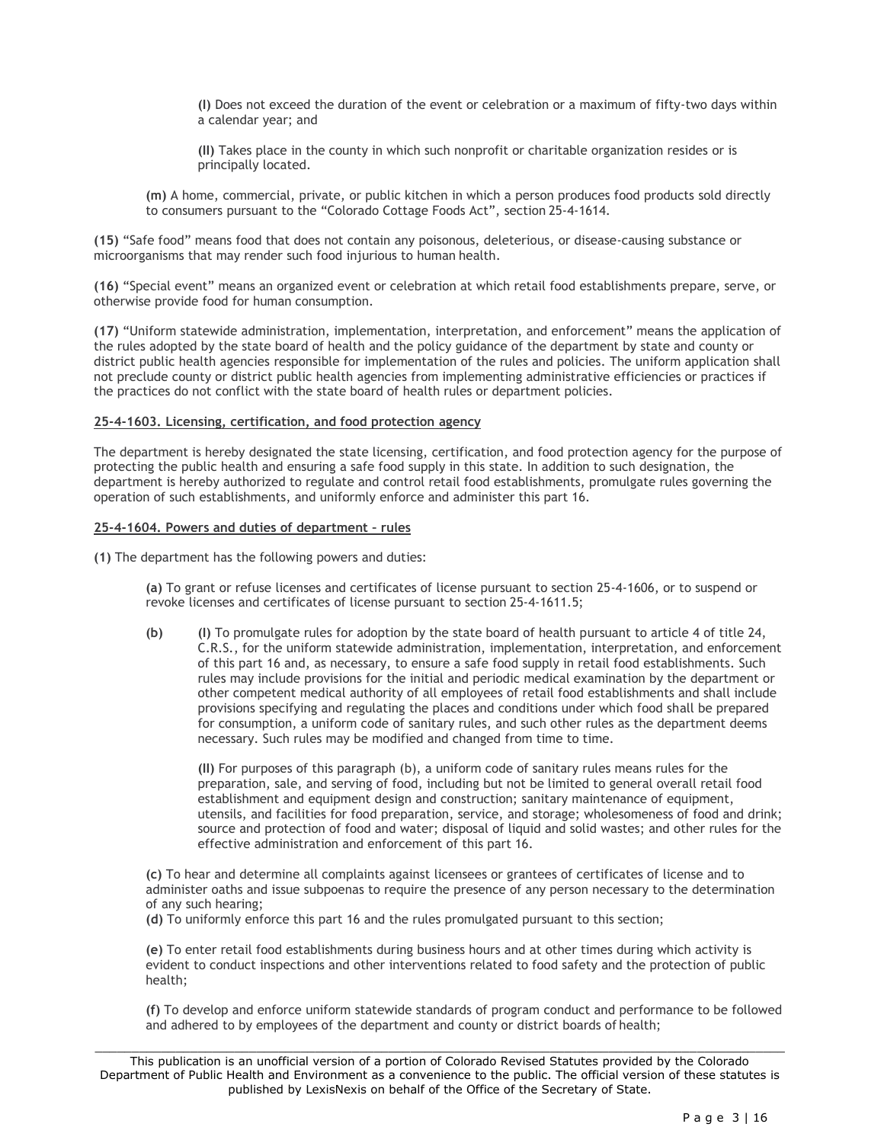**(I)** Does not exceed the duration of the event or celebration or a maximum of fifty-two days within a calendar year; and

**(II)** Takes place in the county in which such nonprofit or charitable organization resides or is principally located.

**(m)** A home, commercial, private, or public kitchen in which a person produces food products sold directly to consumers pursuant to the "Colorado Cottage Foods Act", section 25-4-1614.

**(15)** "Safe food" means food that does not contain any poisonous, deleterious, or disease-causing substance or microorganisms that may render such food injurious to human health.

**(16)** "Special event" means an organized event or celebration at which retail food establishments prepare, serve, or otherwise provide food for human consumption.

**(17)** "Uniform statewide administration, implementation, interpretation, and enforcement" means the application of the rules adopted by the state board of health and the policy guidance of the department by state and county or district public health agencies responsible for implementation of the rules and policies. The uniform application shall not preclude county or district public health agencies from implementing administrative efficiencies or practices if the practices do not conflict with the state board of health rules or department policies.

#### **25-4-1603. Licensing, certification, and food protection agency**

The department is hereby designated the state licensing, certification, and food protection agency for the purpose of protecting the public health and ensuring a safe food supply in this state. In addition to such designation, the department is hereby authorized to regulate and control retail food establishments, promulgate rules governing the operation of such establishments, and uniformly enforce and administer this part 16.

#### **25-4-1604. Powers and duties of department – rules**

**(1)** The department has the following powers and duties:

**(a)** To grant or refuse licenses and certificates of license pursuant to section 25-4-1606, or to suspend or revoke licenses and certificates of license pursuant to section 25-4-1611.5;

**(b) (I)** To promulgate rules for adoption by the state board of health pursuant to article 4 of title 24, C.R.S., for the uniform statewide administration, implementation, interpretation, and enforcement of this part 16 and, as necessary, to ensure a safe food supply in retail food establishments. Such rules may include provisions for the initial and periodic medical examination by the department or other competent medical authority of all employees of retail food establishments and shall include provisions specifying and regulating the places and conditions under which food shall be prepared for consumption, a uniform code of sanitary rules, and such other rules as the department deems necessary. Such rules may be modified and changed from time to time.

**(II)** For purposes of this paragraph (b), a uniform code of sanitary rules means rules for the preparation, sale, and serving of food, including but not be limited to general overall retail food establishment and equipment design and construction; sanitary maintenance of equipment, utensils, and facilities for food preparation, service, and storage; wholesomeness of food and drink; source and protection of food and water; disposal of liquid and solid wastes; and other rules for the effective administration and enforcement of this part 16.

**(c)** To hear and determine all complaints against licensees or grantees of certificates of license and to administer oaths and issue subpoenas to require the presence of any person necessary to the determination of any such hearing;

**(d)** To uniformly enforce this part 16 and the rules promulgated pursuant to this section;

**(e)** To enter retail food establishments during business hours and at other times during which activity is evident to conduct inspections and other interventions related to food safety and the protection of public health;

**(f)** To develop and enforce uniform statewide standards of program conduct and performance to be followed and adhered to by employees of the department and county or district boards of health;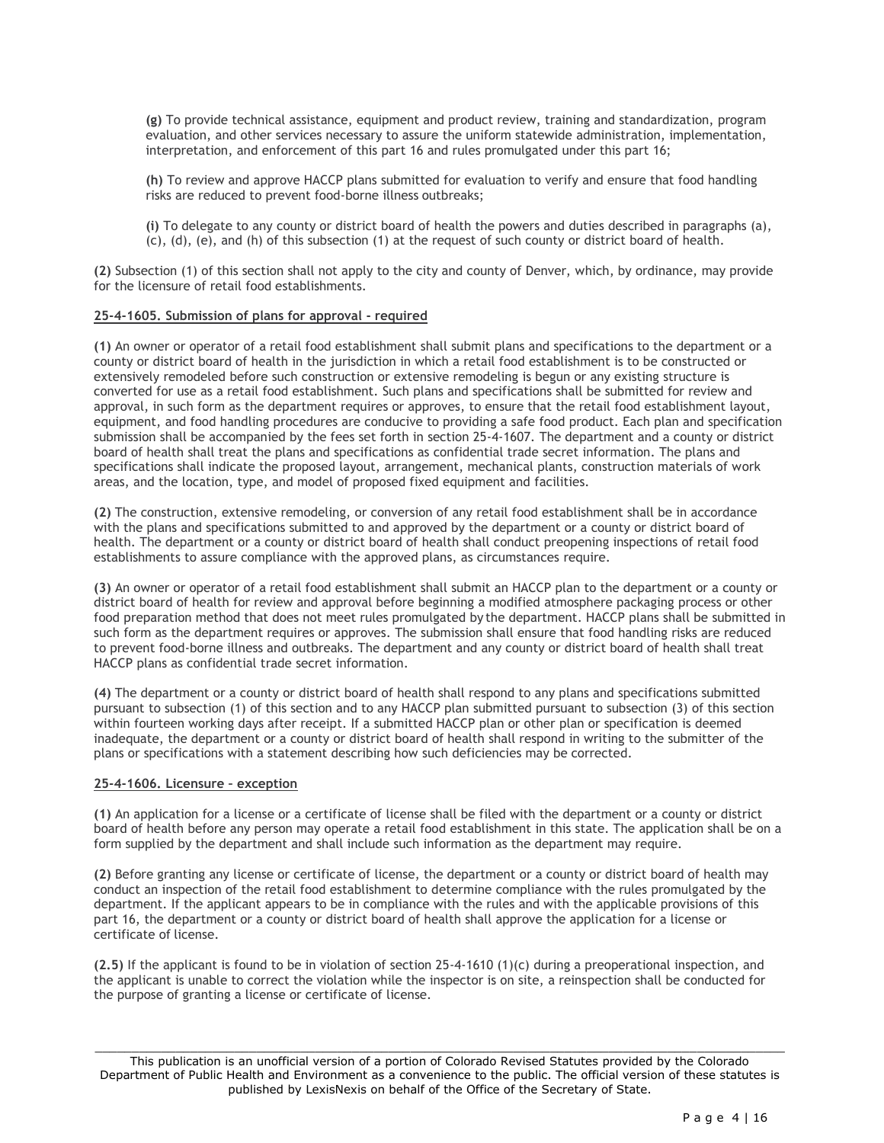**(g)** To provide technical assistance, equipment and product review, training and standardization, program evaluation, and other services necessary to assure the uniform statewide administration, implementation, interpretation, and enforcement of this part 16 and rules promulgated under this part 16;

**(h)** To review and approve HACCP plans submitted for evaluation to verify and ensure that food handling risks are reduced to prevent food-borne illness outbreaks;

**(i)** To delegate to any county or district board of health the powers and duties described in paragraphs (a), (c), (d), (e), and (h) of this subsection (1) at the request of such county or district board of health.

**(2)** Subsection (1) of this section shall not apply to the city and county of Denver, which, by ordinance, may provide for the licensure of retail food establishments.

## **25-4-1605. Submission of plans for approval - required**

**(1)** An owner or operator of a retail food establishment shall submit plans and specifications to the department or a county or district board of health in the jurisdiction in which a retail food establishment is to be constructed or extensively remodeled before such construction or extensive remodeling is begun or any existing structure is converted for use as a retail food establishment. Such plans and specifications shall be submitted for review and approval, in such form as the department requires or approves, to ensure that the retail food establishment layout, equipment, and food handling procedures are conducive to providing a safe food product. Each plan and specification submission shall be accompanied by the fees set forth in section 25-4-1607. The department and a county or district board of health shall treat the plans and specifications as confidential trade secret information. The plans and specifications shall indicate the proposed layout, arrangement, mechanical plants, construction materials of work areas, and the location, type, and model of proposed fixed equipment and facilities.

**(2)** The construction, extensive remodeling, or conversion of any retail food establishment shall be in accordance with the plans and specifications submitted to and approved by the department or a county or district board of health. The department or a county or district board of health shall conduct preopening inspections of retail food establishments to assure compliance with the approved plans, as circumstances require.

**(3)** An owner or operator of a retail food establishment shall submit an HACCP plan to the department or a county or district board of health for review and approval before beginning a modified atmosphere packaging process or other food preparation method that does not meet rules promulgated by the department. HACCP plans shall be submitted in such form as the department requires or approves. The submission shall ensure that food handling risks are reduced to prevent food-borne illness and outbreaks. The department and any county or district board of health shall treat HACCP plans as confidential trade secret information.

**(4)** The department or a county or district board of health shall respond to any plans and specifications submitted pursuant to subsection (1) of this section and to any HACCP plan submitted pursuant to subsection (3) of this section within fourteen working days after receipt. If a submitted HACCP plan or other plan or specification is deemed inadequate, the department or a county or district board of health shall respond in writing to the submitter of the plans or specifications with a statement describing how such deficiencies may be corrected.

## **25-4-1606. Licensure – exception**

**(1)** An application for a license or a certificate of license shall be filed with the department or a county or district board of health before any person may operate a retail food establishment in this state. The application shall be on a form supplied by the department and shall include such information as the department may require.

**(2)** Before granting any license or certificate of license, the department or a county or district board of health may conduct an inspection of the retail food establishment to determine compliance with the rules promulgated by the department. If the applicant appears to be in compliance with the rules and with the applicable provisions of this part 16, the department or a county or district board of health shall approve the application for a license or certificate of license.

**(2.5)** If the applicant is found to be in violation of section 25-4-1610 (1)(c) during a preoperational inspection, and the applicant is unable to correct the violation while the inspector is on site, a reinspection shall be conducted for the purpose of granting a license or certificate of license.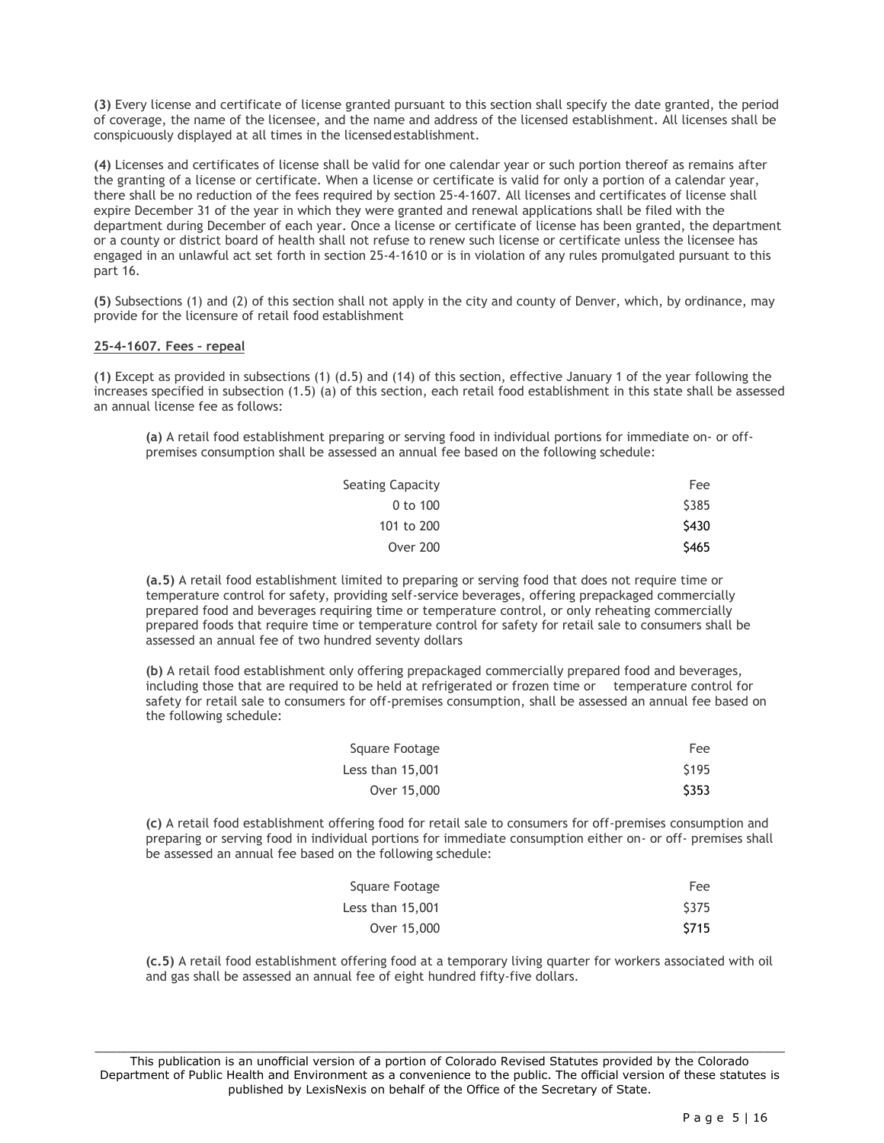**(3)** Every license and certificate of license granted pursuant to this section shall specify the date granted, the period of coverage, the name of the licensee, and the name and address of the licensed establishment. All licenses shall be conspicuously displayed at all times in the licensedestablishment.

**(4)** Licenses and certificates of license shall be valid for one calendar year or such portion thereof as remains after the granting of a license or certificate. When a license or certificate is valid for only a portion of a calendar year, there shall be no reduction of the fees required by section 25-4-1607. All licenses and certificates of license shall expire December 31 of the year in which they were granted and renewal applications shall be filed with the department during December of each year. Once a license or certificate of license has been granted, the department or a county or district board of health shall not refuse to renew such license or certificate unless the licensee has engaged in an unlawful act set forth in section 25-4-1610 or is in violation of any rules promulgated pursuant to this part 16.

**(5)** Subsections (1) and (2) of this section shall not apply in the city and county of Denver, which, by ordinance, may provide for the licensure of retail food establishment

## **25-4-1607. Fees – repeal**

**(1)** Except as provided in subsections (1) (d.5) and (14) of this section, effective January 1 of the year following the increases specified in subsection (1.5) (a) of this section, each retail food establishment in this state shall be assessed an annual license fee as follows:

**(a)** A retail food establishment preparing or serving food in individual portions for immediate on- or offpremises consumption shall be assessed an annual fee based on the following schedule:

| Seating Capacity | Fee         |
|------------------|-------------|
| $0$ to $100$     | <b>S385</b> |
| 101 to 200       | \$430       |
| <b>Over 200</b>  | <b>S465</b> |

**(a.5)** A retail food establishment limited to preparing or serving food that does not require time or temperature control for safety, providing self-service beverages, offering prepackaged commercially prepared food and beverages requiring time or temperature control, or only reheating commercially prepared foods that require time or temperature control for safety for retail sale to consumers shall be assessed an annual fee of two hundred seventy dollars

**(b)** A retail food establishment only offering prepackaged commercially prepared food and beverages, including those that are required to be held at refrigerated or frozen time or temperature control for safety for retail sale to consumers for off-premises consumption, shall be assessed an annual fee based on the following schedule:

| Square Footage   | Fee   |
|------------------|-------|
| Less than 15,001 | \$195 |
| Over 15,000      | \$353 |

**(c)** A retail food establishment offering food for retail sale to consumers for off-premises consumption and preparing or serving food in individual portions for immediate consumption either on- or off- premises shall be assessed an annual fee based on the following schedule:

| Square Footage   | Fee   |
|------------------|-------|
| Less than 15,001 | \$375 |
| Over 15,000      | \$715 |

**(c.5)** A retail food establishment offering food at a temporary living quarter for workers associated with oil and gas shall be assessed an annual fee of eight hundred fifty-five dollars.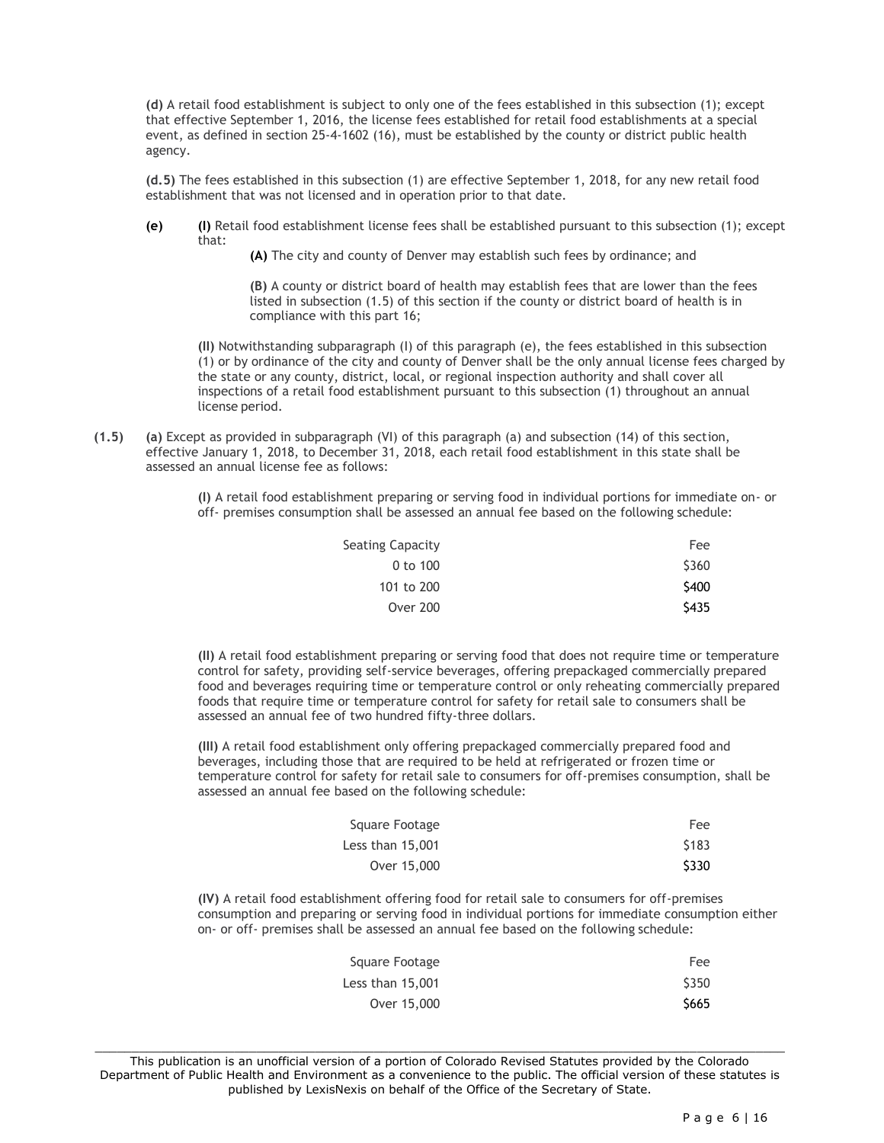**(d)** A retail food establishment is subject to only one of the fees established in this subsection (1); except that effective September 1, 2016, the license fees established for retail food establishments at a special event, as defined in section 25-4-1602 (16), must be established by the county or district public health agency.

**(d.5)** The fees established in this subsection (1) are effective September 1, 2018, for any new retail food establishment that was not licensed and in operation prior to that date.

**(e) (I)** Retail food establishment license fees shall be established pursuant to this subsection (1); except that:

**(A)** The city and county of Denver may establish such fees by ordinance; and

**(B)** A county or district board of health may establish fees that are lower than the fees listed in subsection (1.5) of this section if the county or district board of health is in compliance with this part 16;

**(II)** Notwithstanding subparagraph (I) of this paragraph (e), the fees established in this subsection (1) or by ordinance of the city and county of Denver shall be the only annual license fees charged by the state or any county, district, local, or regional inspection authority and shall cover all inspections of a retail food establishment pursuant to this subsection (1) throughout an annual license period.

**(1.5) (a)** Except as provided in subparagraph (VI) of this paragraph (a) and subsection (14) of this section, effective January 1, 2018, to December 31, 2018, each retail food establishment in this state shall be assessed an annual license fee as follows:

> **(I)** A retail food establishment preparing or serving food in individual portions for immediate on- or off- premises consumption shall be assessed an annual fee based on the following schedule:

| Seating Capacity | Fee   |
|------------------|-------|
| 0 to 100         | \$360 |
| 101 to 200       | \$400 |
| <b>Over 200</b>  | \$435 |
|                  |       |

**(II)** A retail food establishment preparing or serving food that does not require time or temperature control for safety, providing self-service beverages, offering prepackaged commercially prepared food and beverages requiring time or temperature control or only reheating commercially prepared foods that require time or temperature control for safety for retail sale to consumers shall be assessed an annual fee of two hundred fifty-three dollars.

**(III)** A retail food establishment only offering prepackaged commercially prepared food and beverages, including those that are required to be held at refrigerated or frozen time or temperature control for safety for retail sale to consumers for off-premises consumption, shall be assessed an annual fee based on the following schedule:

| Square Footage   | Fee               |
|------------------|-------------------|
| Less than 15,001 | S <sub>1</sub> 83 |
| Over 15,000      | \$330             |

**(IV)** A retail food establishment offering food for retail sale to consumers for off-premises consumption and preparing or serving food in individual portions for immediate consumption either on- or off- premises shall be assessed an annual fee based on the following schedule:

| Square Footage   | Fee   |
|------------------|-------|
| Less than 15,001 | \$350 |
| Over 15,000      | S665  |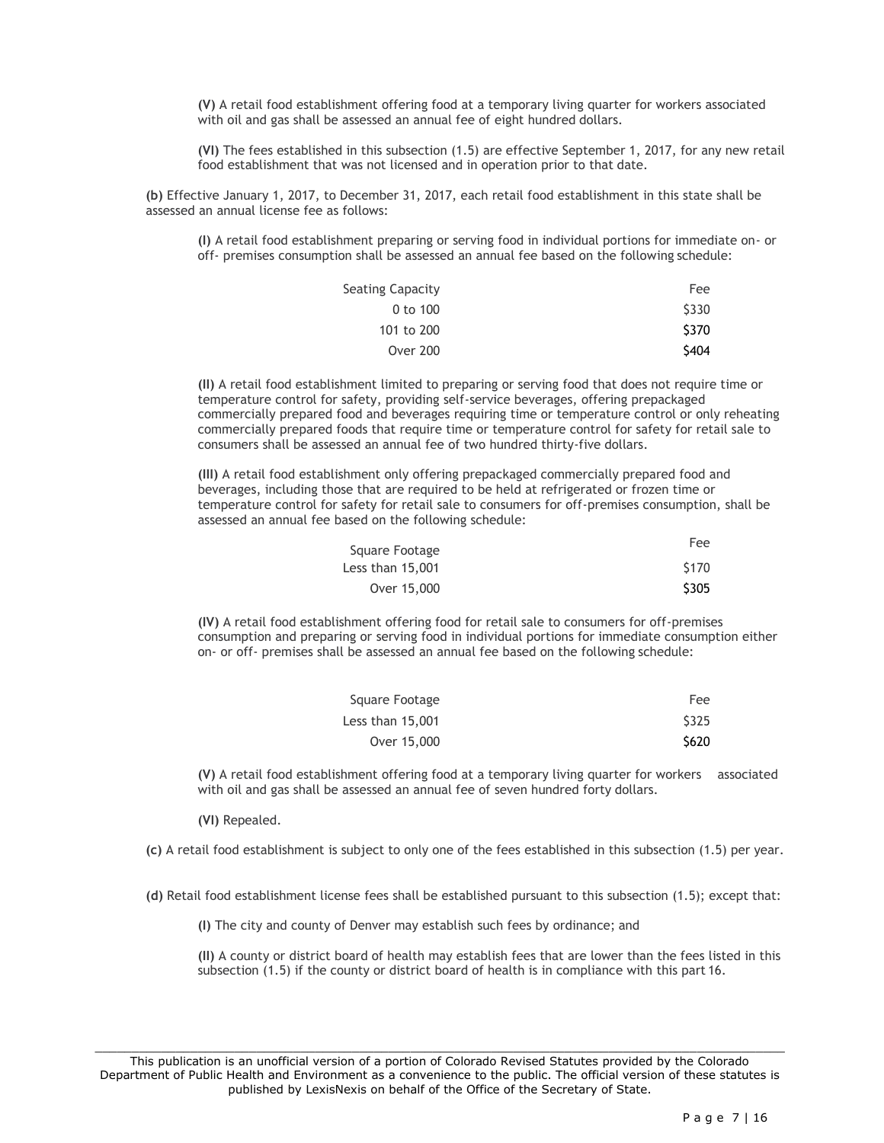**(V)** A retail food establishment offering food at a temporary living quarter for workers associated with oil and gas shall be assessed an annual fee of eight hundred dollars.

**(VI)** The fees established in this subsection (1.5) are effective September 1, 2017, for any new retail food establishment that was not licensed and in operation prior to that date.

**(b)** Effective January 1, 2017, to December 31, 2017, each retail food establishment in this state shall be assessed an annual license fee as follows:

**(I)** A retail food establishment preparing or serving food in individual portions for immediate on- or off- premises consumption shall be assessed an annual fee based on the following schedule:

| Seating Capacity | Fee   |
|------------------|-------|
| $0$ to $100$     | \$330 |
| 101 to 200       | \$370 |
| <b>Over 200</b>  | \$404 |

**(II)** A retail food establishment limited to preparing or serving food that does not require time or temperature control for safety, providing self-service beverages, offering prepackaged commercially prepared food and beverages requiring time or temperature control or only reheating commercially prepared foods that require time or temperature control for safety for retail sale to consumers shall be assessed an annual fee of two hundred thirty-five dollars.

**(III)** A retail food establishment only offering prepackaged commercially prepared food and beverages, including those that are required to be held at refrigerated or frozen time or temperature control for safety for retail sale to consumers for off-premises consumption, shall be assessed an annual fee based on the following schedule:

| Square Footage   | Fee   |
|------------------|-------|
| Less than 15,001 | \$170 |
| Over 15,000      | \$305 |

**(IV)** A retail food establishment offering food for retail sale to consumers for off-premises consumption and preparing or serving food in individual portions for immediate consumption either on- or off- premises shall be assessed an annual fee based on the following schedule:

| Square Footage   | Fee         |
|------------------|-------------|
| Less than 15,001 | <b>S325</b> |
| Over 15,000      | \$620       |

**(V)** A retail food establishment offering food at a temporary living quarter for workers associated with oil and gas shall be assessed an annual fee of seven hundred forty dollars.

**(VI)** Repealed.

**(c)** A retail food establishment is subject to only one of the fees established in this subsection (1.5) per year.

**(d)** Retail food establishment license fees shall be established pursuant to this subsection (1.5); except that:

**(I)** The city and county of Denver may establish such fees by ordinance; and

**(II)** A county or district board of health may establish fees that are lower than the fees listed in this subsection (1.5) if the county or district board of health is in compliance with this part 16.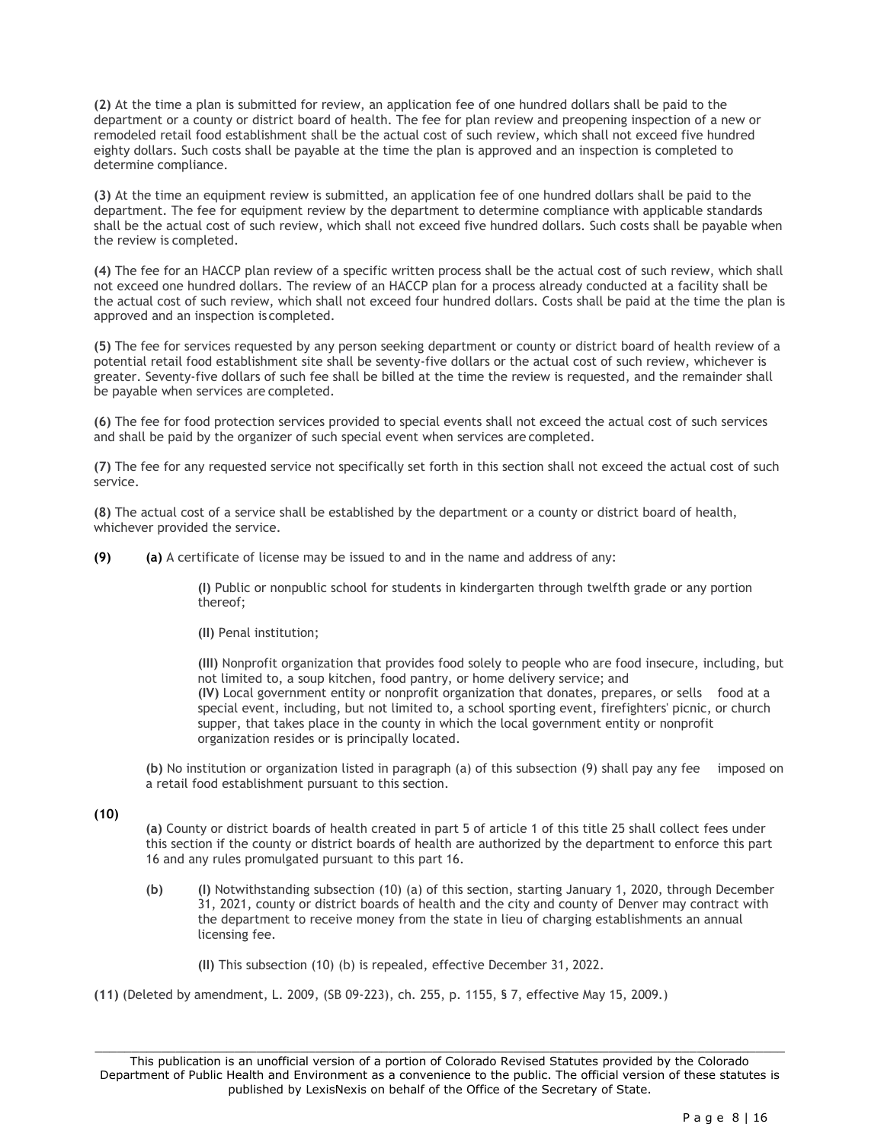**(2)** At the time a plan is submitted for review, an application fee of one hundred dollars shall be paid to the department or a county or district board of health. The fee for plan review and preopening inspection of a new or remodeled retail food establishment shall be the actual cost of such review, which shall not exceed five hundred eighty dollars. Such costs shall be payable at the time the plan is approved and an inspection is completed to determine compliance.

**(3)** At the time an equipment review is submitted, an application fee of one hundred dollars shall be paid to the department. The fee for equipment review by the department to determine compliance with applicable standards shall be the actual cost of such review, which shall not exceed five hundred dollars. Such costs shall be payable when the review is completed.

**(4)** The fee for an HACCP plan review of a specific written process shall be the actual cost of such review, which shall not exceed one hundred dollars. The review of an HACCP plan for a process already conducted at a facility shall be the actual cost of such review, which shall not exceed four hundred dollars. Costs shall be paid at the time the plan is approved and an inspection iscompleted.

**(5)** The fee for services requested by any person seeking department or county or district board of health review of a potential retail food establishment site shall be seventy-five dollars or the actual cost of such review, whichever is greater. Seventy-five dollars of such fee shall be billed at the time the review is requested, and the remainder shall be payable when services are completed.

**(6)** The fee for food protection services provided to special events shall not exceed the actual cost of such services and shall be paid by the organizer of such special event when services are completed.

**(7)** The fee for any requested service not specifically set forth in this section shall not exceed the actual cost of such service.

**(8)** The actual cost of a service shall be established by the department or a county or district board of health, whichever provided the service.

**(9) (a)** A certificate of license may be issued to and in the name and address of any:

**(I)** Public or nonpublic school for students in kindergarten through twelfth grade or any portion thereof;

**(II)** Penal institution;

**(III)** Nonprofit organization that provides food solely to people who are food insecure, including, but not limited to, a soup kitchen, food pantry, or home delivery service; and **(IV)** Local government entity or nonprofit organization that donates, prepares, or sells food at a special event, including, but not limited to, a school sporting event, firefighters' picnic, or church supper, that takes place in the county in which the local government entity or nonprofit organization resides or is principally located.

**(b)** No institution or organization listed in paragraph (a) of this subsection (9) shall pay any fee imposed on a retail food establishment pursuant to this section.

**(10)** 

**(a)** County or district boards of health created in part 5 of article 1 of this title 25 shall collect fees under this section if the county or district boards of health are authorized by the department to enforce this part 16 and any rules promulgated pursuant to this part 16.

**(b) (I)** Notwithstanding subsection (10) (a) of this section, starting January 1, 2020, through December 31, 2021, county or district boards of health and the city and county of Denver may contract with the department to receive money from the state in lieu of charging establishments an annual licensing fee.

**(II)** This subsection (10) (b) is repealed, effective December 31, 2022.

**(11)** (Deleted by amendment, L. 2009, (SB 09-223), ch. 255, p. 1155, § 7, effective May 15, 2009.)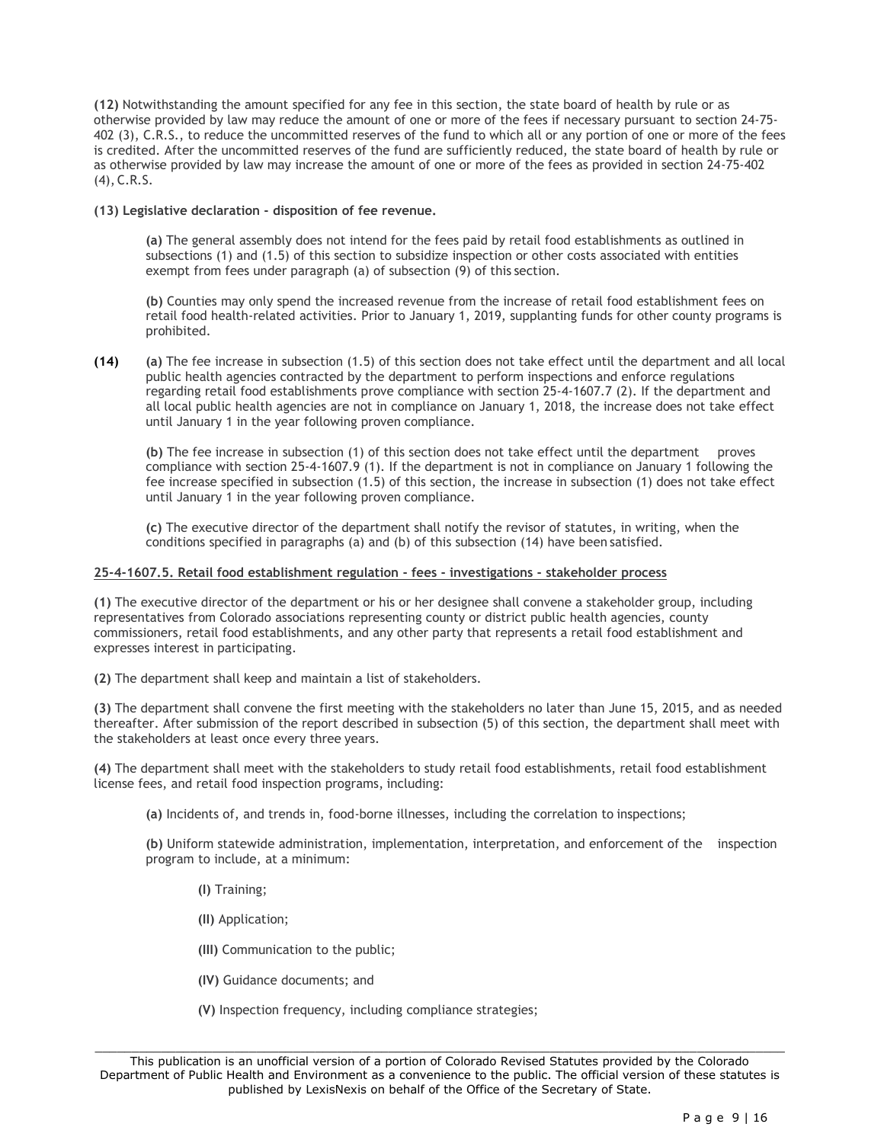**(12)** Notwithstanding the amount specified for any fee in this section, the state board of health by rule or as otherwise provided by law may reduce the amount of one or more of the fees if necessary pursuant to section 24-75- 402 (3), C.R.S., to reduce the uncommitted reserves of the fund to which all or any portion of one or more of the fees is credited. After the uncommitted reserves of the fund are sufficiently reduced, the state board of health by rule or as otherwise provided by law may increase the amount of one or more of the fees as provided in section 24-75-402 (4), C.R.S.

## **(13) Legislative declaration - disposition of fee revenue.**

**(a)** The general assembly does not intend for the fees paid by retail food establishments as outlined in subsections (1) and (1.5) of this section to subsidize inspection or other costs associated with entities exempt from fees under paragraph (a) of subsection (9) of this section.

**(b)** Counties may only spend the increased revenue from the increase of retail food establishment fees on retail food health-related activities. Prior to January 1, 2019, supplanting funds for other county programs is prohibited.

**(14) (a)** The fee increase in subsection (1.5) of this section does not take effect until the department and all local public health agencies contracted by the department to perform inspections and enforce regulations regarding retail food establishments prove compliance with section 25-4-1607.7 (2). If the department and all local public health agencies are not in compliance on January 1, 2018, the increase does not take effect until January 1 in the year following proven compliance.

**(b)** The fee increase in subsection (1) of this section does not take effect until the department proves compliance with section 25-4-1607.9 (1). If the department is not in compliance on January 1 following the fee increase specified in subsection (1.5) of this section, the increase in subsection (1) does not take effect until January 1 in the year following proven compliance.

**(c)** The executive director of the department shall notify the revisor of statutes, in writing, when the conditions specified in paragraphs (a) and (b) of this subsection (14) have been satisfied.

# **25-4-1607.5. Retail food establishment regulation - fees - investigations - stakeholder process**

**(1)** The executive director of the department or his or her designee shall convene a stakeholder group, including representatives from Colorado associations representing county or district public health agencies, county commissioners, retail food establishments, and any other party that represents a retail food establishment and expresses interest in participating.

**(2)** The department shall keep and maintain a list of stakeholders.

**(3)** The department shall convene the first meeting with the stakeholders no later than June 15, 2015, and as needed thereafter. After submission of the report described in subsection (5) of this section, the department shall meet with the stakeholders at least once every three years.

**(4)** The department shall meet with the stakeholders to study retail food establishments, retail food establishment license fees, and retail food inspection programs, including:

**(a)** Incidents of, and trends in, food-borne illnesses, including the correlation to inspections;

**(b)** Uniform statewide administration, implementation, interpretation, and enforcement of the inspection program to include, at a minimum:

- **(I)** Training;
- **(II)** Application;
- **(III)** Communication to the public;
- **(IV)** Guidance documents; and
- **(V)** Inspection frequency, including compliance strategies;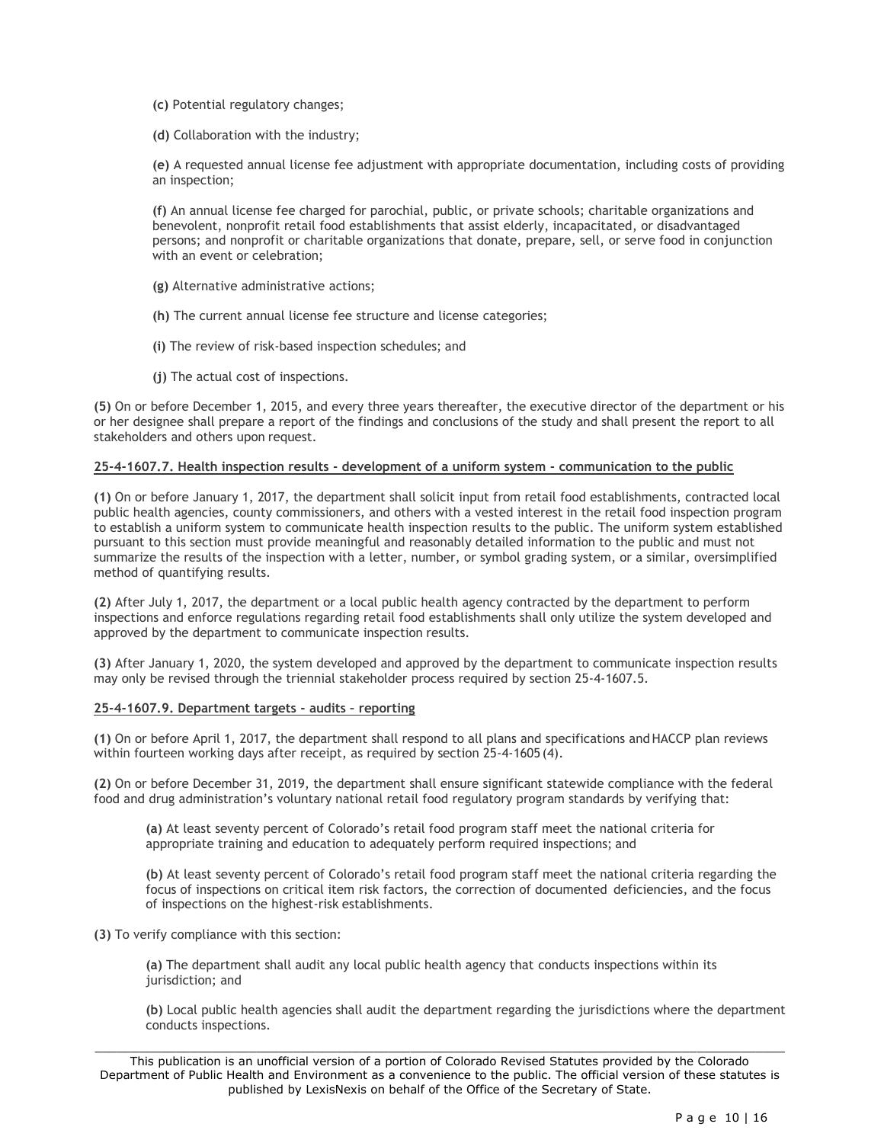- **(c)** Potential regulatory changes;
- **(d)** Collaboration with the industry;

**(e)** A requested annual license fee adjustment with appropriate documentation, including costs of providing an inspection;

**(f)** An annual license fee charged for parochial, public, or private schools; charitable organizations and benevolent, nonprofit retail food establishments that assist elderly, incapacitated, or disadvantaged persons; and nonprofit or charitable organizations that donate, prepare, sell, or serve food in conjunction with an event or celebration;

- **(g)** Alternative administrative actions;
- **(h)** The current annual license fee structure and license categories;
- **(i)** The review of risk-based inspection schedules; and
- **(j)** The actual cost of inspections.

**(5)** On or before December 1, 2015, and every three years thereafter, the executive director of the department or his or her designee shall prepare a report of the findings and conclusions of the study and shall present the report to all stakeholders and others upon request.

# **25-4-1607.7. Health inspection results - development of a uniform system - communication to the public**

**(1)** On or before January 1, 2017, the department shall solicit input from retail food establishments, contracted local public health agencies, county commissioners, and others with a vested interest in the retail food inspection program to establish a uniform system to communicate health inspection results to the public. The uniform system established pursuant to this section must provide meaningful and reasonably detailed information to the public and must not summarize the results of the inspection with a letter, number, or symbol grading system, or a similar, oversimplified method of quantifying results.

**(2)** After July 1, 2017, the department or a local public health agency contracted by the department to perform inspections and enforce regulations regarding retail food establishments shall only utilize the system developed and approved by the department to communicate inspection results.

**(3)** After January 1, 2020, the system developed and approved by the department to communicate inspection results may only be revised through the triennial stakeholder process required by section 25-4-1607.5.

#### **25-4-1607.9. Department targets - audits – reporting**

**(1)** On or before April 1, 2017, the department shall respond to all plans and specifications andHACCP plan reviews within fourteen working days after receipt, as required by section 25-4-1605 (4).

**(2)** On or before December 31, 2019, the department shall ensure significant statewide compliance with the federal food and drug administration's voluntary national retail food regulatory program standards by verifying that:

**(a)** At least seventy percent of Colorado's retail food program staff meet the national criteria for appropriate training and education to adequately perform required inspections; and

**(b)** At least seventy percent of Colorado's retail food program staff meet the national criteria regarding the focus of inspections on critical item risk factors, the correction of documented deficiencies, and the focus of inspections on the highest-risk establishments.

**(3)** To verify compliance with this section:

**(a)** The department shall audit any local public health agency that conducts inspections within its jurisdiction; and

**(b)** Local public health agencies shall audit the department regarding the jurisdictions where the department conducts inspections.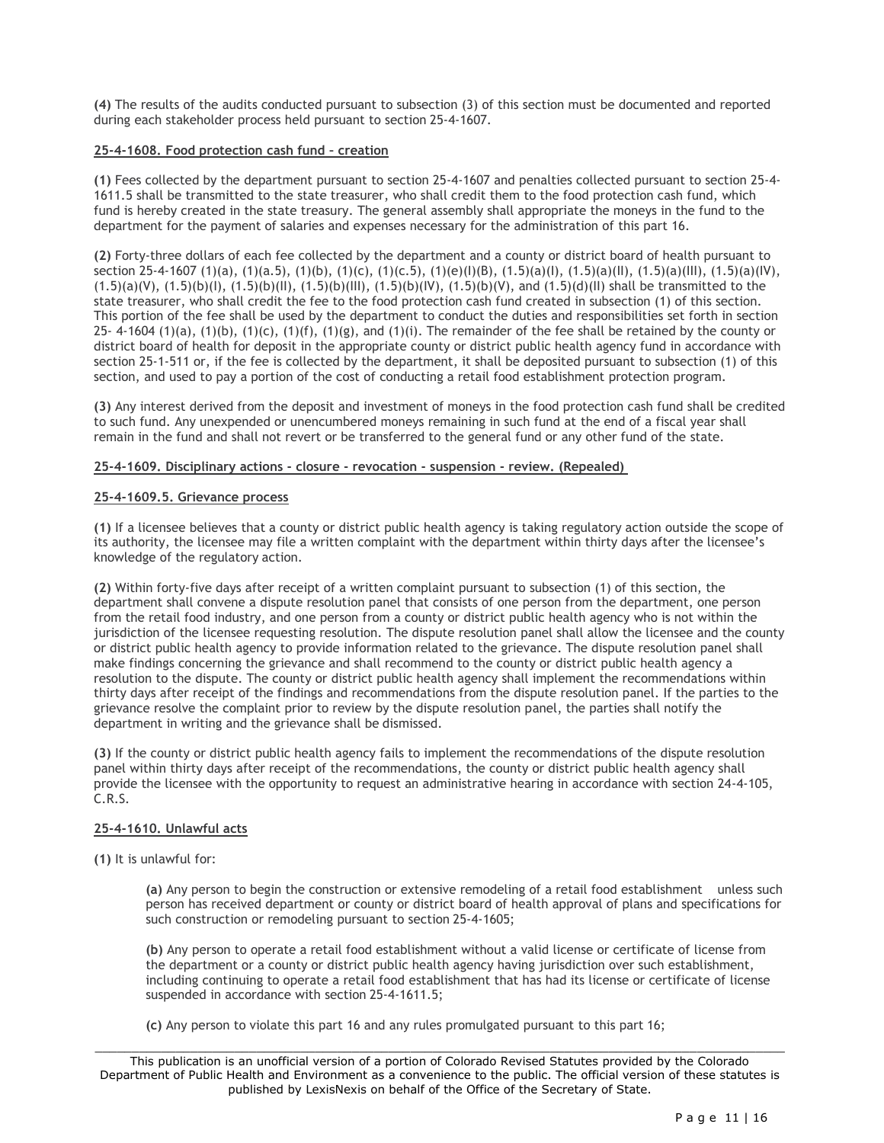**(4)** The results of the audits conducted pursuant to subsection (3) of this section must be documented and reported during each stakeholder process held pursuant to section 25-4-1607.

# **25-4-1608. Food protection cash fund – creation**

**(1)** Fees collected by the department pursuant to section 25-4-1607 and penalties collected pursuant to section 25-4- 1611.5 shall be transmitted to the state treasurer, who shall credit them to the food protection cash fund, which fund is hereby created in the state treasury. The general assembly shall appropriate the moneys in the fund to the department for the payment of salaries and expenses necessary for the administration of this part 16.

**(2)** Forty-three dollars of each fee collected by the department and a county or district board of health pursuant to section 25-4-1607 (1)(a), (1)(a.5), (1)(b), (1)(c), (1)(c.5), (1)(e)(I)(B), (1.5)(a)(I), (1.5)(a)(II), (1.5)(a)(III), (1.5)(a)(IV),  $(1.5)(a)(V)$ ,  $(1.5)(b)(I)$ ,  $(1.5)(b)(II)$ ,  $(1.5)(b)(III)$ ,  $(1.5)(b)(IV)$ ,  $(1.5)(b)(V)$ , and  $(1.5)(d)(II)$  shall be transmitted to the state treasurer, who shall credit the fee to the food protection cash fund created in subsection (1) of this section. This portion of the fee shall be used by the department to conduct the duties and responsibilities set forth in section 25- 4-1604 (1)(a), (1)(b), (1)(c), (1)(f), (1)(g), and (1)(i). The remainder of the fee shall be retained by the county or district board of health for deposit in the appropriate county or district public health agency fund in accordance with section 25-1-511 or, if the fee is collected by the department, it shall be deposited pursuant to subsection (1) of this section, and used to pay a portion of the cost of conducting a retail food establishment protection program.

**(3)** Any interest derived from the deposit and investment of moneys in the food protection cash fund shall be credited to such fund. Any unexpended or unencumbered moneys remaining in such fund at the end of a fiscal year shall remain in the fund and shall not revert or be transferred to the general fund or any other fund of the state.

#### **25-4-1609. Disciplinary actions - closure - revocation - suspension - review. (Repealed)**

#### **25-4-1609.5. Grievance process**

**(1)** If a licensee believes that a county or district public health agency is taking regulatory action outside the scope of its authority, the licensee may file a written complaint with the department within thirty days after the licensee's knowledge of the regulatory action.

**(2)** Within forty-five days after receipt of a written complaint pursuant to subsection (1) of this section, the department shall convene a dispute resolution panel that consists of one person from the department, one person from the retail food industry, and one person from a county or district public health agency who is not within the jurisdiction of the licensee requesting resolution. The dispute resolution panel shall allow the licensee and the county or district public health agency to provide information related to the grievance. The dispute resolution panel shall make findings concerning the grievance and shall recommend to the county or district public health agency a resolution to the dispute. The county or district public health agency shall implement the recommendations within thirty days after receipt of the findings and recommendations from the dispute resolution panel. If the parties to the grievance resolve the complaint prior to review by the dispute resolution panel, the parties shall notify the department in writing and the grievance shall be dismissed.

**(3)** If the county or district public health agency fails to implement the recommendations of the dispute resolution panel within thirty days after receipt of the recommendations, the county or district public health agency shall provide the licensee with the opportunity to request an administrative hearing in accordance with section 24-4-105, C.R.S.

## **25-4-1610. Unlawful acts**

**(1)** It is unlawful for:

**(a)** Any person to begin the construction or extensive remodeling of a retail food establishment unless such person has received department or county or district board of health approval of plans and specifications for such construction or remodeling pursuant to section 25-4-1605;

**(b)** Any person to operate a retail food establishment without a valid license or certificate of license from the department or a county or district public health agency having jurisdiction over such establishment, including continuing to operate a retail food establishment that has had its license or certificate of license suspended in accordance with section 25-4-1611.5;

**(c)** Any person to violate this part 16 and any rules promulgated pursuant to this part 16;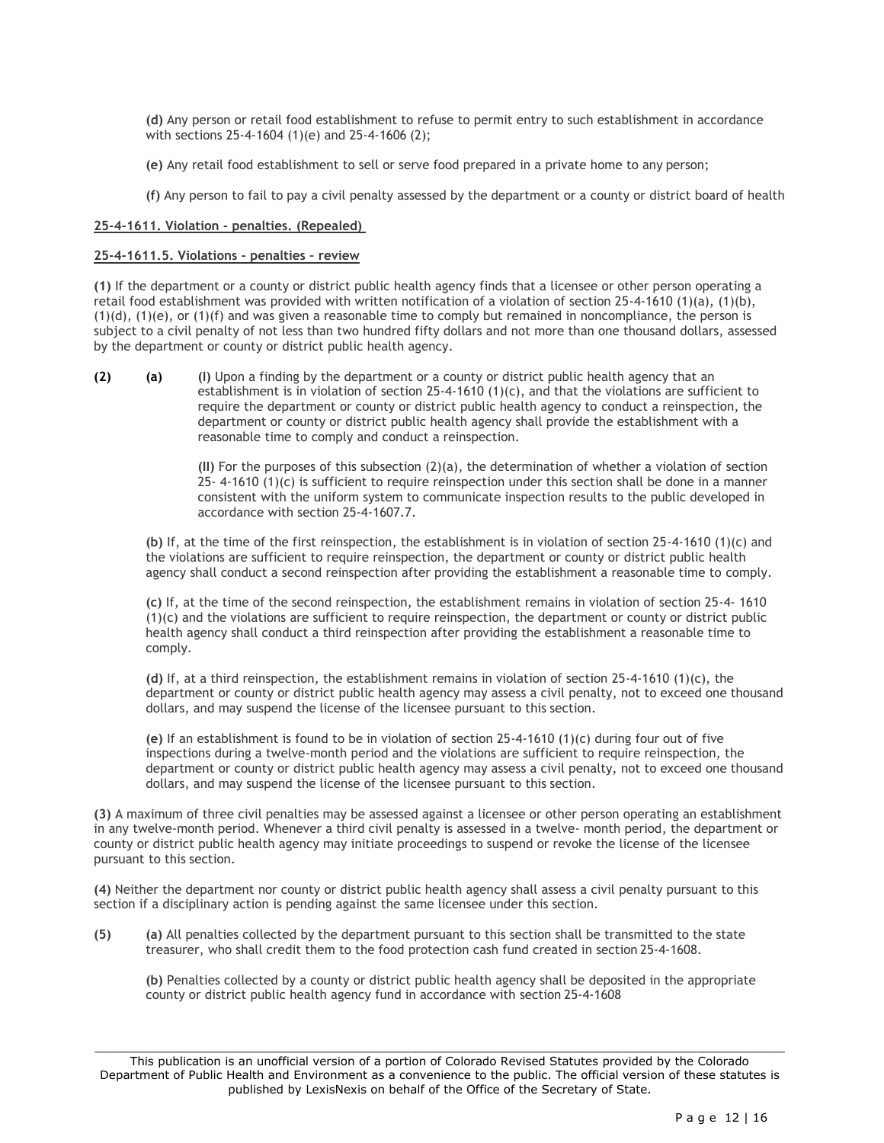**(d)** Any person or retail food establishment to refuse to permit entry to such establishment in accordance with sections 25-4-1604 (1)(e) and 25-4-1606 (2);

**(e)** Any retail food establishment to sell or serve food prepared in a private home to any person;

**(f)** Any person to fail to pay a civil penalty assessed by the department or a county or district board of health

#### **25-4-1611. Violation - penalties. (Repealed)**

#### **25-4-1611.5. Violations - penalties – review**

**(1)** If the department or a county or district public health agency finds that a licensee or other person operating a retail food establishment was provided with written notification of a violation of section 25-4-1610 (1)(a), (1)(b),  $(1)(d)$ ,  $(1)(e)$ , or  $(1)(f)$  and was given a reasonable time to comply but remained in noncompliance, the person is subject to a civil penalty of not less than two hundred fifty dollars and not more than one thousand dollars, assessed by the department or county or district public health agency.

**(2) (a) (I)** Upon a finding by the department or a county or district public health agency that an establishment is in violation of section 25-4-1610 (1)(c), and that the violations are sufficient to require the department or county or district public health agency to conduct a reinspection, the department or county or district public health agency shall provide the establishment with a reasonable time to comply and conduct a reinspection.

> **(II)** For the purposes of this subsection (2)(a), the determination of whether a violation of section 25- 4-1610 (1)(c) is sufficient to require reinspection under this section shall be done in a manner consistent with the uniform system to communicate inspection results to the public developed in accordance with section 25-4-1607.7.

**(b)** If, at the time of the first reinspection, the establishment is in violation of section 25-4-1610 (1)(c) and the violations are sufficient to require reinspection, the department or county or district public health agency shall conduct a second reinspection after providing the establishment a reasonable time to comply.

**(c)** If, at the time of the second reinspection, the establishment remains in violation of section 25-4- 1610  $(1)(c)$  and the violations are sufficient to require reinspection, the department or county or district public health agency shall conduct a third reinspection after providing the establishment a reasonable time to comply.

**(d)** If, at a third reinspection, the establishment remains in violation of section 25-4-1610 (1)(c), the department or county or district public health agency may assess a civil penalty, not to exceed one thousand dollars, and may suspend the license of the licensee pursuant to this section.

**(e)** If an establishment is found to be in violation of section 25-4-1610 (1)(c) during four out of five inspections during a twelve-month period and the violations are sufficient to require reinspection, the department or county or district public health agency may assess a civil penalty, not to exceed one thousand dollars, and may suspend the license of the licensee pursuant to this section.

**(3)** A maximum of three civil penalties may be assessed against a licensee or other person operating an establishment in any twelve-month period. Whenever a third civil penalty is assessed in a twelve- month period, the department or county or district public health agency may initiate proceedings to suspend or revoke the license of the licensee pursuant to this section.

**(4)** Neither the department nor county or district public health agency shall assess a civil penalty pursuant to this section if a disciplinary action is pending against the same licensee under this section.

**(5) (a)** All penalties collected by the department pursuant to this section shall be transmitted to the state treasurer, who shall credit them to the food protection cash fund created in section 25-4-1608.

**(b)** Penalties collected by a county or district public health agency shall be deposited in the appropriate county or district public health agency fund in accordance with section 25-4-1608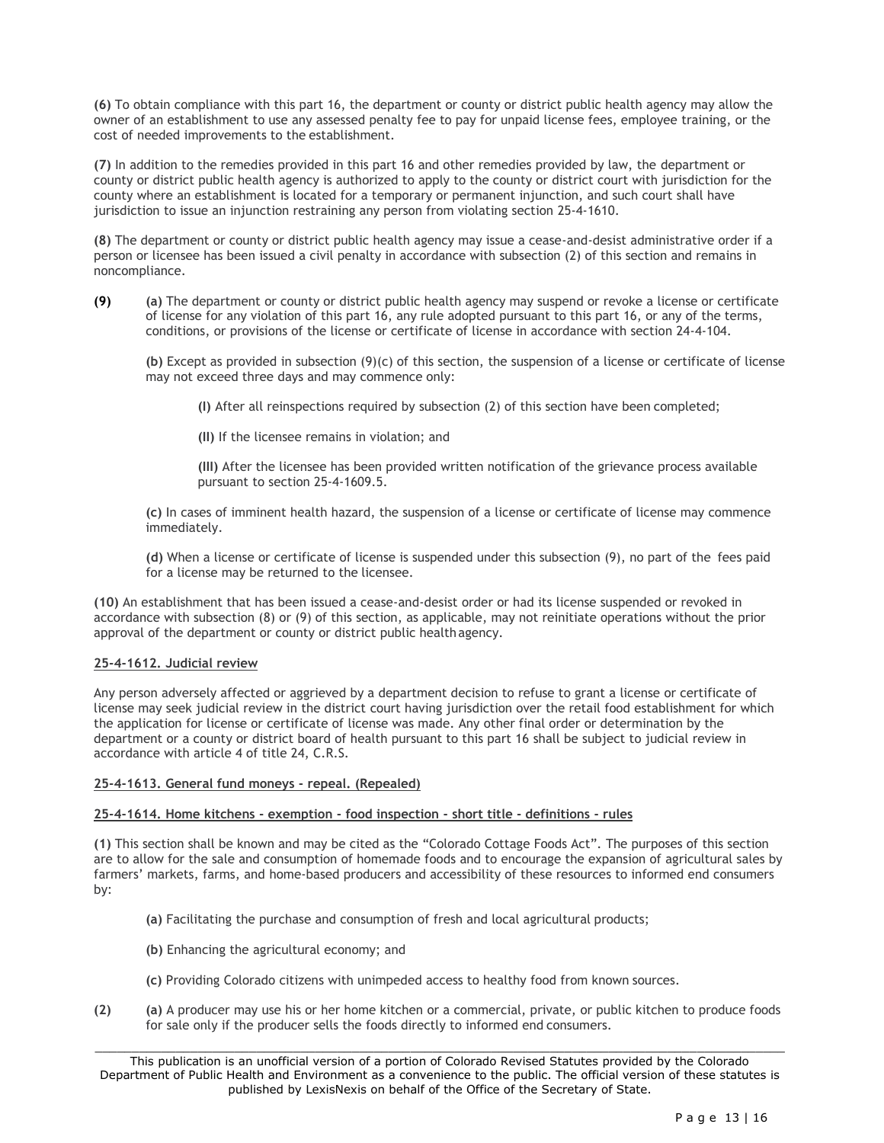**(6)** To obtain compliance with this part 16, the department or county or district public health agency may allow the owner of an establishment to use any assessed penalty fee to pay for unpaid license fees, employee training, or the cost of needed improvements to the establishment.

**(7)** In addition to the remedies provided in this part 16 and other remedies provided by law, the department or county or district public health agency is authorized to apply to the county or district court with jurisdiction for the county where an establishment is located for a temporary or permanent injunction, and such court shall have jurisdiction to issue an injunction restraining any person from violating section 25-4-1610.

**(8)** The department or county or district public health agency may issue a cease-and-desist administrative order if a person or licensee has been issued a civil penalty in accordance with subsection (2) of this section and remains in noncompliance.

**(9) (a)** The department or county or district public health agency may suspend or revoke a license or certificate of license for any violation of this part 16, any rule adopted pursuant to this part 16, or any of the terms, conditions, or provisions of the license or certificate of license in accordance with section 24-4-104.

**(b)** Except as provided in subsection (9)(c) of this section, the suspension of a license or certificate of license may not exceed three days and may commence only:

**(I)** After all reinspections required by subsection (2) of this section have been completed;

**(II)** If the licensee remains in violation; and

**(III)** After the licensee has been provided written notification of the grievance process available pursuant to section 25-4-1609.5.

**(c)** In cases of imminent health hazard, the suspension of a license or certificate of license may commence immediately.

**(d)** When a license or certificate of license is suspended under this subsection (9), no part of the fees paid for a license may be returned to the licensee.

**(10)** An establishment that has been issued a cease-and-desist order or had its license suspended or revoked in accordance with subsection (8) or (9) of this section, as applicable, may not reinitiate operations without the prior approval of the department or county or district public healthagency.

# **25-4-1612. Judicial review**

Any person adversely affected or aggrieved by a department decision to refuse to grant a license or certificate of license may seek judicial review in the district court having jurisdiction over the retail food establishment for which the application for license or certificate of license was made. Any other final order or determination by the department or a county or district board of health pursuant to this part 16 shall be subject to judicial review in accordance with article 4 of title 24, C.R.S.

## **25-4-1613. General fund moneys - repeal. (Repealed)**

## **25-4-1614. Home kitchens - exemption - food inspection - short title - definitions - rules**

**(1)** This section shall be known and may be cited as the "Colorado Cottage Foods Act". The purposes of this section are to allow for the sale and consumption of homemade foods and to encourage the expansion of agricultural sales by farmers' markets, farms, and home-based producers and accessibility of these resources to informed end consumers by:

- **(a)** Facilitating the purchase and consumption of fresh and local agricultural products;
- **(b)** Enhancing the agricultural economy; and
- **(c)** Providing Colorado citizens with unimpeded access to healthy food from known sources.
- **(2) (a)** A producer may use his or her home kitchen or a commercial, private, or public kitchen to produce foods for sale only if the producer sells the foods directly to informed end consumers.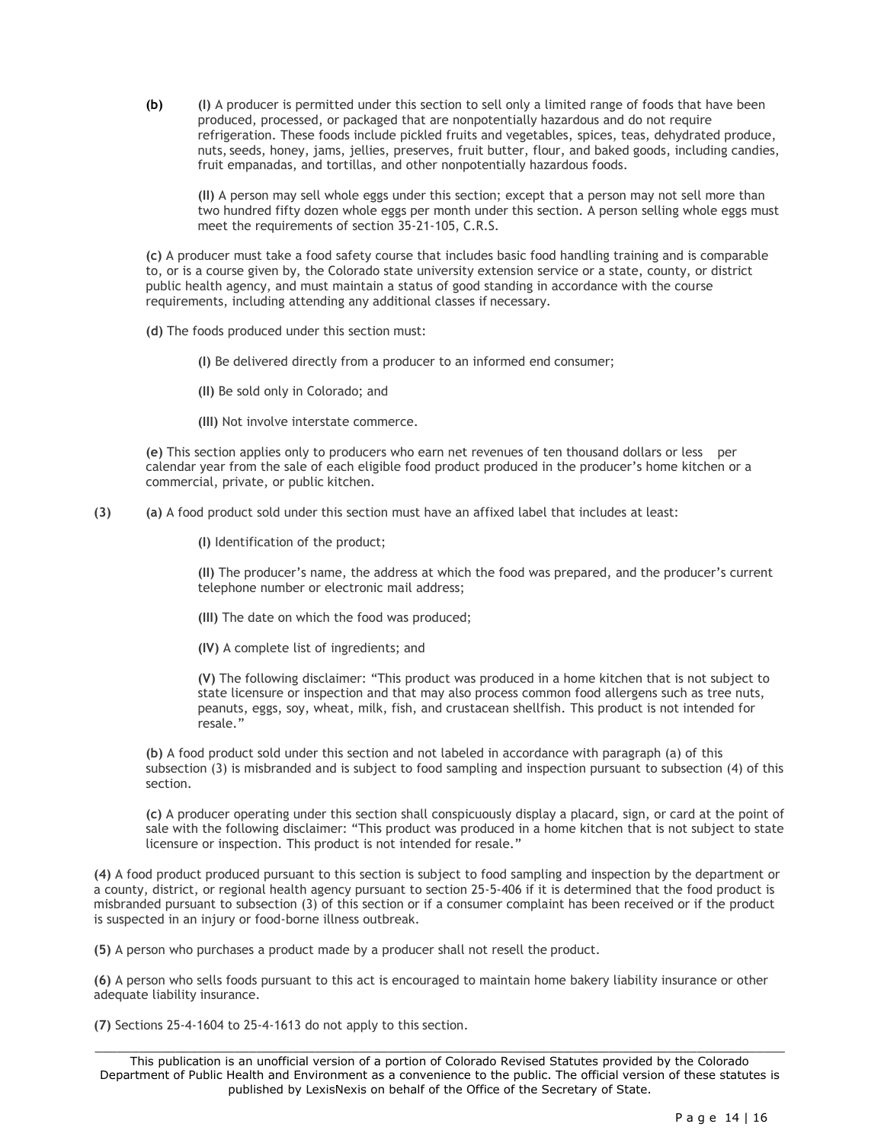**(b) (I)** A producer is permitted under this section to sell only a limited range of foods that have been produced, processed, or packaged that are nonpotentially hazardous and do not require refrigeration. These foods include pickled fruits and vegetables, spices, teas, dehydrated produce, nuts, seeds, honey, jams, jellies, preserves, fruit butter, flour, and baked goods, including candies, fruit empanadas, and tortillas, and other nonpotentially hazardous foods.

**(II)** A person may sell whole eggs under this section; except that a person may not sell more than two hundred fifty dozen whole eggs per month under this section. A person selling whole eggs must meet the requirements of section 35-21-105, C.R.S.

**(c)** A producer must take a food safety course that includes basic food handling training and is comparable to, or is a course given by, the Colorado state university extension service or a state, county, or district public health agency, and must maintain a status of good standing in accordance with the course requirements, including attending any additional classes if necessary.

**(d)** The foods produced under this section must:

**(I)** Be delivered directly from a producer to an informed end consumer;

**(II)** Be sold only in Colorado; and

**(III)** Not involve interstate commerce.

**(e)** This section applies only to producers who earn net revenues of ten thousand dollars or less per calendar year from the sale of each eligible food product produced in the producer's home kitchen or a commercial, private, or public kitchen.

**(3) (a)** A food product sold under this section must have an affixed label that includes at least:

**(I)** Identification of the product;

**(II)** The producer's name, the address at which the food was prepared, and the producer's current telephone number or electronic mail address;

**(III)** The date on which the food was produced;

**(IV)** A complete list of ingredients; and

**(V)** The following disclaimer: "This product was produced in a home kitchen that is not subject to state licensure or inspection and that may also process common food allergens such as tree nuts, peanuts, eggs, soy, wheat, milk, fish, and crustacean shellfish. This product is not intended for resale."

**(b)** A food product sold under this section and not labeled in accordance with paragraph (a) of this subsection (3) is misbranded and is subject to food sampling and inspection pursuant to subsection (4) of this section.

**(c)** A producer operating under this section shall conspicuously display a placard, sign, or card at the point of sale with the following disclaimer: "This product was produced in a home kitchen that is not subject to state licensure or inspection. This product is not intended for resale."

**(4)** A food product produced pursuant to this section is subject to food sampling and inspection by the department or a county, district, or regional health agency pursuant to section 25-5-406 if it is determined that the food product is misbranded pursuant to subsection (3) of this section or if a consumer complaint has been received or if the product is suspected in an injury or food-borne illness outbreak.

**(5)** A person who purchases a product made by a producer shall not resell the product.

**(6)** A person who sells foods pursuant to this act is encouraged to maintain home bakery liability insurance or other adequate liability insurance.

**(7)** Sections 25-4-1604 to 25-4-1613 do not apply to this section.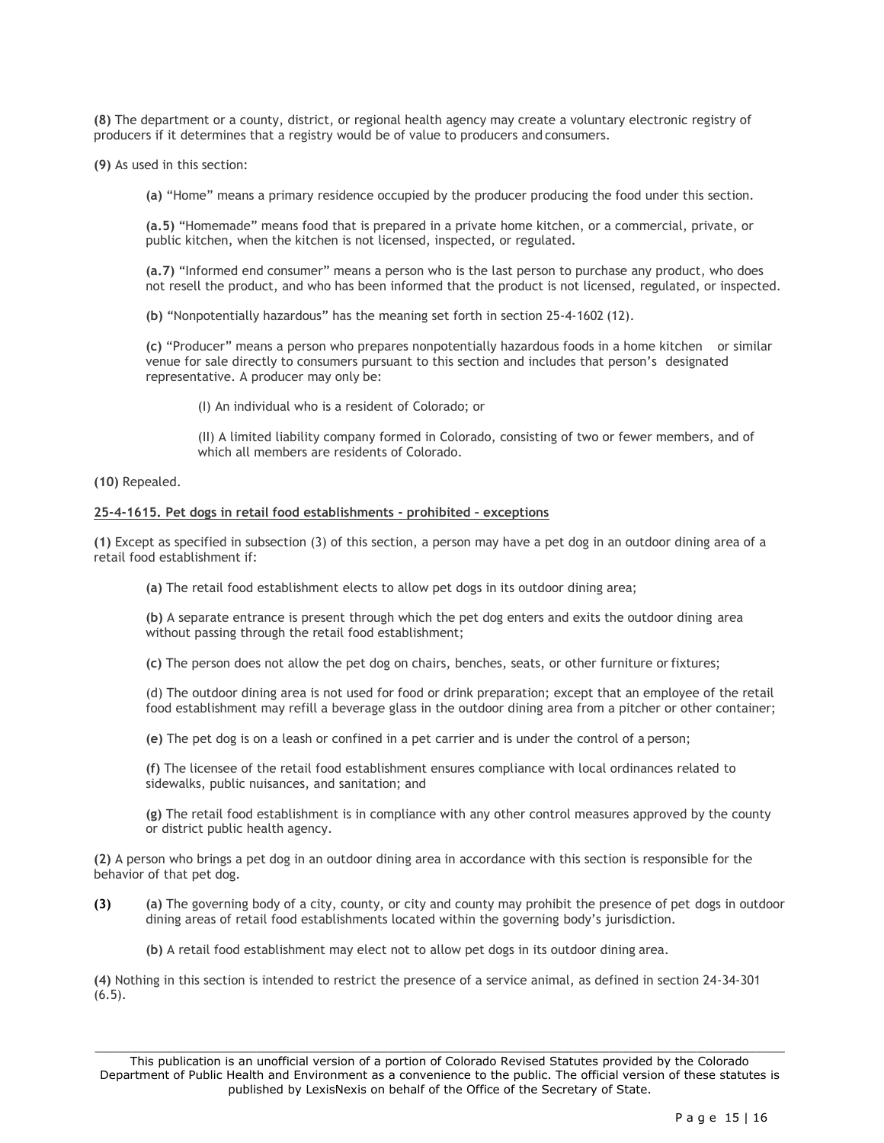**(8)** The department or a county, district, or regional health agency may create a voluntary electronic registry of producers if it determines that a registry would be of value to producers and consumers.

**(9)** As used in this section:

**(a)** "Home" means a primary residence occupied by the producer producing the food under this section.

**(a.5)** "Homemade" means food that is prepared in a private home kitchen, or a commercial, private, or public kitchen, when the kitchen is not licensed, inspected, or regulated.

**(a.7)** "Informed end consumer" means a person who is the last person to purchase any product, who does not resell the product, and who has been informed that the product is not licensed, regulated, or inspected.

**(b)** "Nonpotentially hazardous" has the meaning set forth in section 25-4-1602 (12).

**(c)** "Producer" means a person who prepares nonpotentially hazardous foods in a home kitchen or similar venue for sale directly to consumers pursuant to this section and includes that person's designated representative. A producer may only be:

(I) An individual who is a resident of Colorado; or

(II) A limited liability company formed in Colorado, consisting of two or fewer members, and of which all members are residents of Colorado.

**(10)** Repealed.

#### **25-4-1615. Pet dogs in retail food establishments - prohibited – exceptions**

**(1)** Except as specified in subsection (3) of this section, a person may have a pet dog in an outdoor dining area of a retail food establishment if:

**(a)** The retail food establishment elects to allow pet dogs in its outdoor dining area;

**(b)** A separate entrance is present through which the pet dog enters and exits the outdoor dining area without passing through the retail food establishment;

**(c)** The person does not allow the pet dog on chairs, benches, seats, or other furniture or fixtures;

(d) The outdoor dining area is not used for food or drink preparation; except that an employee of the retail food establishment may refill a beverage glass in the outdoor dining area from a pitcher or other container;

**(e)** The pet dog is on a leash or confined in a pet carrier and is under the control of a person;

**(f)** The licensee of the retail food establishment ensures compliance with local ordinances related to sidewalks, public nuisances, and sanitation; and

**(g)** The retail food establishment is in compliance with any other control measures approved by the county or district public health agency.

**(2)** A person who brings a pet dog in an outdoor dining area in accordance with this section is responsible for the behavior of that pet dog.

**(3) (a)** The governing body of a city, county, or city and county may prohibit the presence of pet dogs in outdoor dining areas of retail food establishments located within the governing body's jurisdiction.

**(b)** A retail food establishment may elect not to allow pet dogs in its outdoor dining area.

**(4)** Nothing in this section is intended to restrict the presence of a service animal, as defined in section 24-34-301  $(6.5)$ .